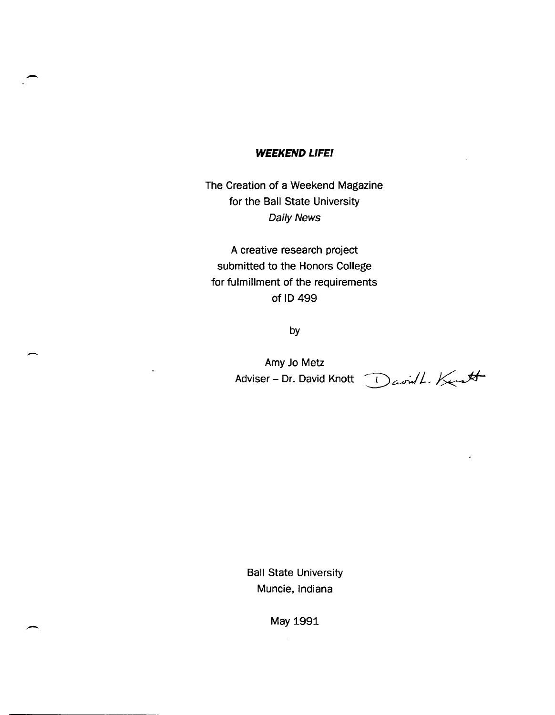## **WEEKEND LlFEI**

-

-

The Creation of a Weekend Magazine for the Ball State University Daily News

A creative research project submitted to the Honors College for fulmillment of the requirements of 10499

by

Amy Jo Metz

Adviser - Dr. David Knott  $\bigcup_{\alpha} \text{curl}$ . Kerst

Ball State University Muncie, Indiana

May 1991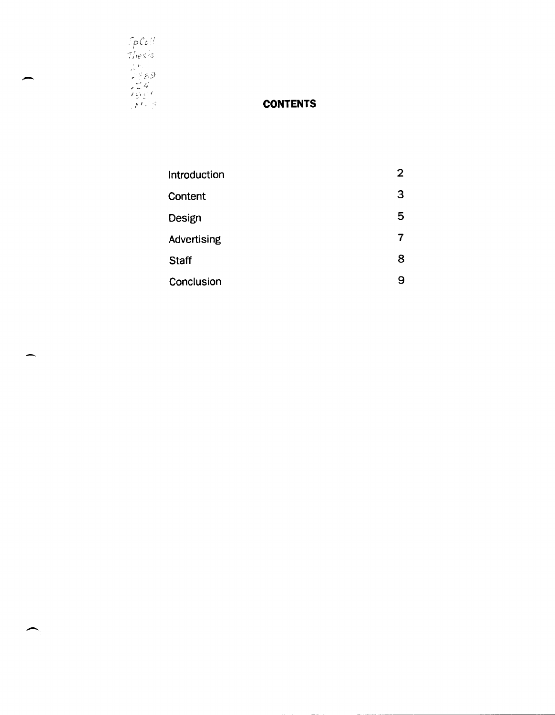

-

--

## **CONTENTS**

| Introduction | $\overline{2}$ |
|--------------|----------------|
| Content      | 3              |
| Design       | 5              |
| Advertising  | 7              |
| <b>Staff</b> | 8              |
| Conclusion   | g              |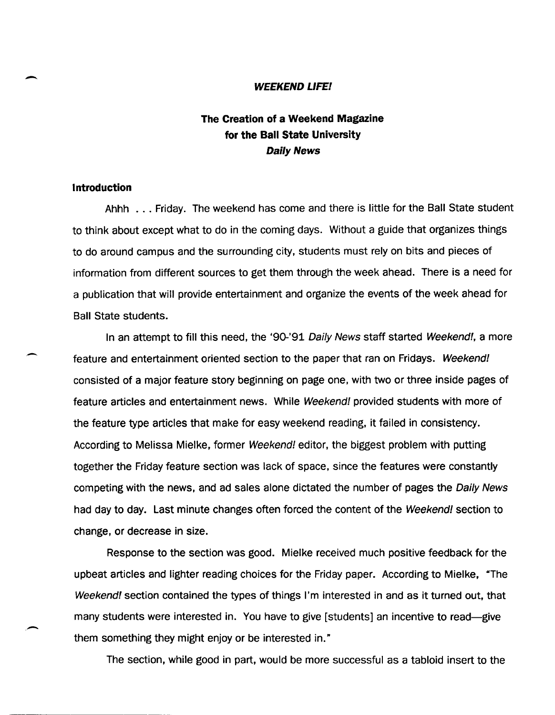#### **WEEKEND LlFEI**

# **The Creation of a Weekend Magazine for the Ball State University**  Daily News

### **Introduction**

-

.-

Ahhh ... Friday. The weekend has come and there is little for the Ball State student to think about except what to do in the coming days. Without a guide that organizes things to do around campus and the surrounding city, students must rely on bits and pieces of information from different sources to get them through the week ahead. There is a need for a publication that will provide entertainment and organize the events of the week ahead for Ball State students.

In an attempt to fill this need, the '90-'91 Daily News staff started Weekend!, a more feature and entertainment oriented section to the paper that ran on Fridays. Weekend! consisted of a major feature story beginning on page one, with two or three inside pages of feature articles and entertainment news. While Weekend! provided students with more of the feature type articles that make for easy weekend reading, it failed in consistency. According to Melissa Mielke, former Weekend! editor, the biggest problem with putting together the Friday feature section was lack of space, since the features were constantly competing with the news, and ad sales alone dictated the number of pages the Daily News had day to day. Last minute changes often forced the content of the Weekend! section to change, or decrease in size.

Response to the section was good. Mielke received much positive feedback for the upbeat articles and lighter reading choices for the Friday paper. According to Mielke, "The Weekend! section contained the types of things I'm interested in and as it turned out, that many students were interested in. You have to give [students] an incentive to read-give them something they might enjoy or be interested in."

The section, while good in part, would be more successful as a tabloid insert to the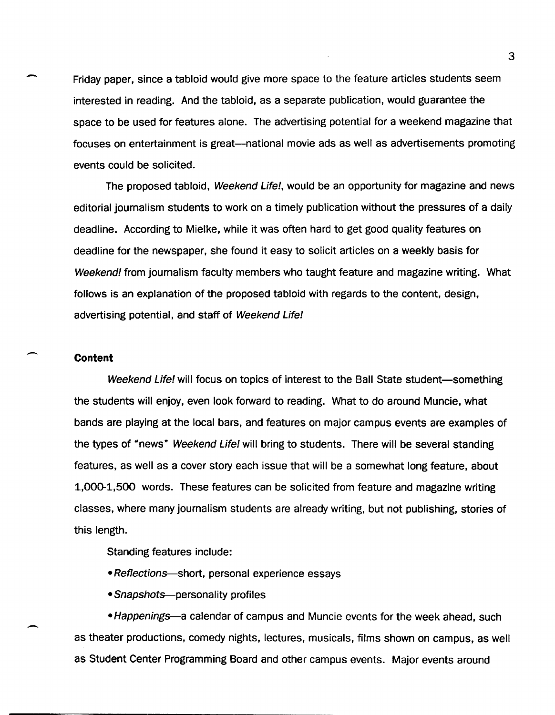Friday paper, since a tabloid would give more space to the feature articles students seem interested in reading. And the tabloid, as a separate publication, would guarantee the space to be used for features alone. The advertising potential for a weekend magazine that focuses on entertainment is great--national movie ads as well as advertisements promoting events could be solicited.

The proposed tabloid, Weekend Life!, would be an opportunity for magazine and news editorial journalism students to work on a timely publication without the pressures of a daily deadline. According to Mielke, while it was often hard to get good quality features on deadline for the newspaper, she found it easy to solicit articles on a weekly basis for Weekend! from journalism faculty members who taught feature and magazine writing. What follows is an explanation of the proposed tabloid with regards to the content, design, advertising potential, and staff of Weekend Life!

#### **Content**

-

-

Weekend Life! will focus on topics of interest to the Ball State student—something the students will enjoy, even look forward to reading. What to do around Muncie, what bands are playing at the local bars, and features on major campus events are examples of the types of "news" Weekend Life! will bring to students. There will be several standing features, as well as a cover story each issue that will be a somewhat long feature, about 1,000-1,500 words. These features can be solicited from feature and magazine writing classes, where many journalism students are already writing, but not publishing, stories of this length.

Standing features include:

• Reflections—short, personal experience essays

• Snapshots—personality profiles

• Happenings—a calendar of campus and Muncie events for the week ahead, such as theater productions, comedy nights, lectures, musicals, films shown on campus, as well as Student Center Programming Board and other campus events. Major events around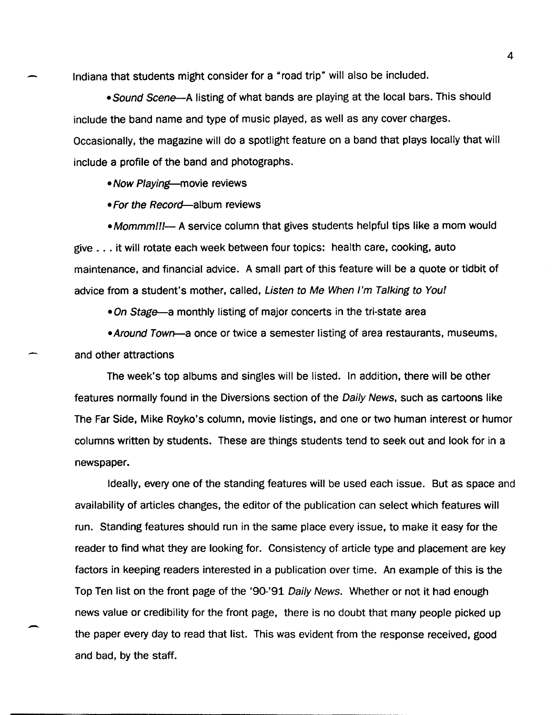Indiana that students might consider for a "road trip" will also be included.

• Sound Scene—A listing of what bands are playing at the local bars. This should include the band name and type of music played, as well as any cover charges. Occasionally, the magazine will do a spotlight feature on a band that plays locally that will include a profile of the band and photographs.

• Now Playing—movie reviews

• For the Record-album reviews

• Mommm!!!— A service column that gives students helpful tips like a mom would give ... it will rotate each week between four topics: health care, cooking, auto maintenance, and financial advice. A small part of this feature will be a quote or tidbit of advice from a student's mother, called, Listen to Me When I'm Talking to You!

• On Stage—a monthly listing of major concerts in the tri-state area

• Around Town—a once or twice a semester listing of area restaurants, museums, and other attractions

-

The week's top albums and singles will be listed. In addition, there will be other features normally found in the Diversions section of the Daily News, such as cartoons like The Far Side, Mike Royko's column, movie listings, and one or two human interest or humor columns written by students. These are things students tend to seek out and look for in a newspaper.

Ideally, every one of the standing features will be used each issue. But as space and availability of articles changes, the editor of the publication can select which features will run. Standing features should run in the same place every issue, to make it easy for the reader to find what they are looking for. Consistency of article type and placement are key factors in keeping readers interested in a publication over time. An example of this is the Top Ten list on the front page of the '90-'91 Daily News. Whether or not it had enough news value or credibility for the front page, there is no doubt that many people picked up the paper every day to read that list. This was evident from the response received, good and bad, by the staff.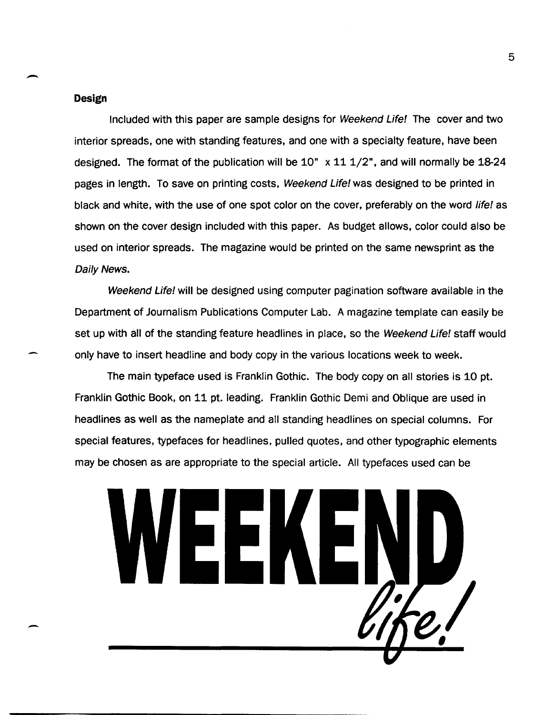#### **Design**

-

--

Included with this paper are sample designs for Weekend Life! The cover and two interior spreads, one with standing features, and one with a specialty feature, have been designed. The format of the publication will be  $10" x 11 1/2"$ , and will normally be  $18-24$ pages in length. To save on printing costs, Weekend Life! was designed to be printed in black and white, with the use of one spot color on the cover, preferably on the word life! as shown on the cover design included with this paper. As budget allows, color could also be used on interior spreads. The magazine would be printed on the same newsprint as the Daily News.

Weekend Life! will be designed using computer pagination software available in the Department of Journalism Publications Computer Lab. A magazine template can easily be set up with all of the standing feature headlines in place, so the Weekend Life! staff would only have to insert headline and body copy in the various locations week to week.

The main typeface used is Franklin Gothic. The body copy on all stories is 10 pt. Franklin Gothic Book, on 11 pt. leading. Franklin Gothic Demi and Oblique are used in headlines as well as the nameplate and all standing headlines on special columns. For special features, typefaces for headlines, pulled quotes, and other typographic elements may be chosen as are appropriate to the special article. All typefaces used can be



5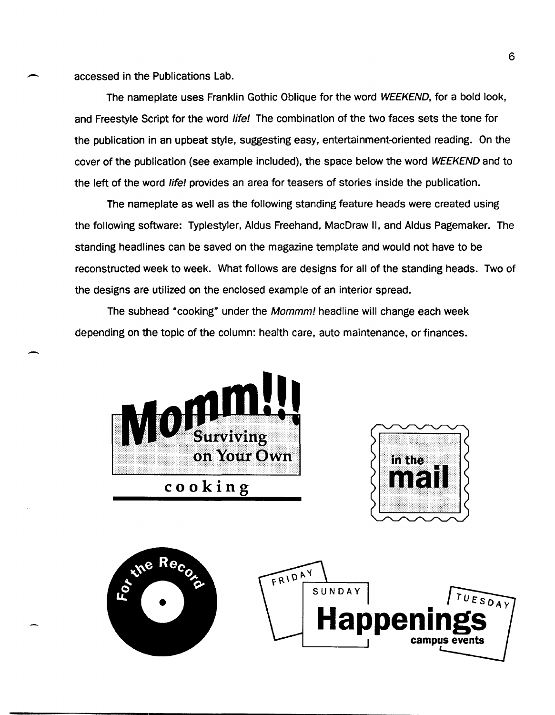accessed in the Publications Lab.

-

The nameplate uses Franklin Gothic Oblique for the word WEEKEND, for a bold look, and Freestyle Script for the word life! The combination of the two faces sets the tone for the publication in an upbeat style, suggesting easy, entertainment-oriented reading. On the cover of the publication (see example included), the space below the word WEEKEND and to the left of the word life! provides an area for teasers of stories inside the publication.

The nameplate as well as the following standing feature heads were created using the following software: Typlestyler, Aldus Freehand, MacDraw II, and Aldus Pagemaker. The standing headlines can be saved on the magazine template and would not have to be reconstructed week to week. What follows are designs for all of the standing heads. Two of the designs are utilized on the enclosed example of an interior spread.

The subhead "cooking" under the Mommm! headline will change each week depending on the topic of the column: health care, auto maintenance, or finances.





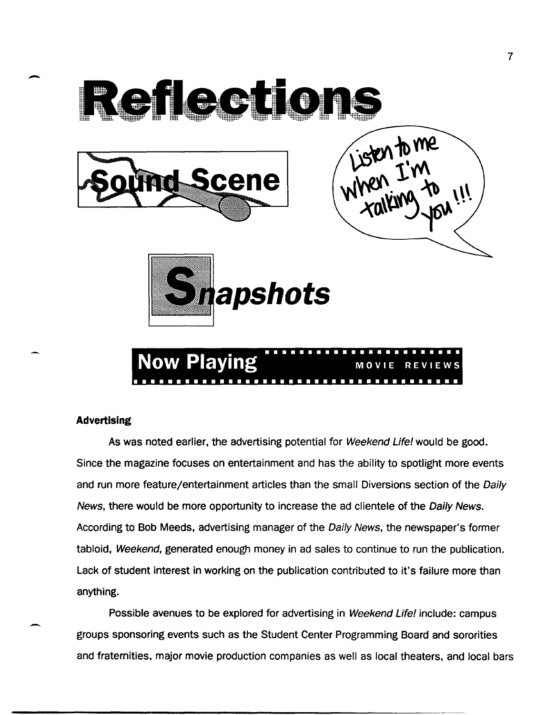

## **Advertising**

-

-

As was noted earlier, the advertising potential for Weekend Life! would be good. Since the magazine focuses on entertainment and has the ability to spotlight more events and run more feature/entertainment articles than the small Diversions section of the Daily News, there would be more opportunity to increase the ad clientele of the Daily News. According to Bob Meeds, advertising manager of the Daily News, the newspaper's former tabloid, Weekend, generated enough money in ad sales to continue to run the publication. Lack of student interest in working on the publication contributed to it's failure more than anything.

Possible avenues to be explored for advertising in Weekend Life! include: campus groups sponsoring events such as the Student Center Programming Board and sororities and fraternities, major movie production companies as well as local theaters, and local bars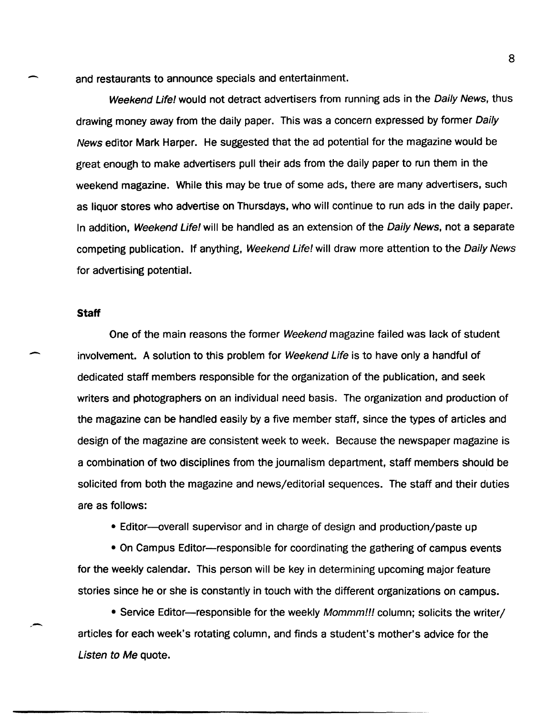and restaurants to announce specials and entertainment.

Weekend Life! would not detract advertisers from running ads in the Daily News, thus drawing money away from the daily paper. This was a concern expressed by former Daily News editor Mark Harper. He suggested that the ad potential for the magazine would be great enough to make advertisers pull their ads from the daily paper to run them in the weekend magazine. While this may be true of some ads, there are many advertisers, such as liquor stores who advertise on Thursdays, who will continue to run ads in the daily paper. In addition, Weekend Life! will be handled as an extension of the Daily News, not a separate competing publication. If anything, Weekend Life! will draw more attention to the Daily News for advertising potential.

#### **Staff**

 $\overline{\phantom{0}}$ 

-

One of the main reasons the former Weekend magazine failed was lack of student involvement. A solution to this problem for Weekend Life is to have only a handful of dedicated staff members responsible for the organization of the publication, and seek writers and photographers on an individual need basis. The organization and production of the magazine can be handled easily by a five member staff, since the types of articles and design of the magazine are consistent week to week. Because the newspaper magazine is a combination of two disciplines from the journalism department, staff members should be solicited from both the magazine and news/editorial sequences. The staff and their duties are as follows:

• Editor--overall supervisor and in charge of design and production/paste up

• On Campus Editor-responsible for coordinating the gathering of campus events for the weekly calendar. This person will be key in determining upcoming major feature stories since he or she is constantly in touch with the different organizations on campus.

• Service Editor-responsible for the weekly *Mommm!!!* column; solicits the writer/ articles for each week's rotating column, and finds a student's mother's advice for the Listen to Me quote.

8